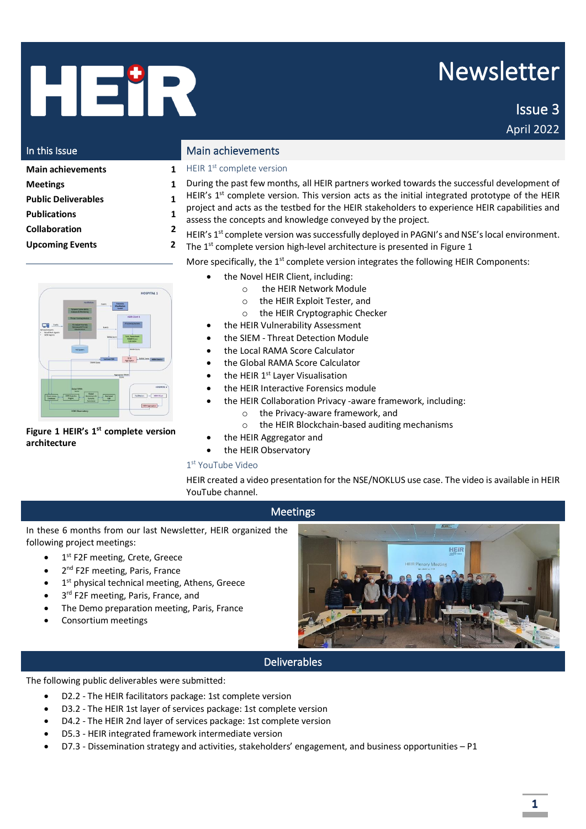# HEIR

# Newsletter

 Issue 3 April 2022

| In this Issue                                                                         | Main achie                                                                      |
|---------------------------------------------------------------------------------------|---------------------------------------------------------------------------------|
| <b>Main achievements</b>                                                              | HEIR $1st$ com                                                                  |
| <b>Meetings</b><br><b>Public Deliverables</b><br><b>Publications</b><br>Collaboration | During the p<br>HEIR's 1st co<br>project and<br>assess the co<br>HEIR's 1st cor |
| <b>Upcoming Events</b>                                                                | The 1 <sup>st</sup> comp                                                        |
|                                                                                       |                                                                                 |

|                                        |                                                                    |                                                  |                                       | <b>HOSPITAL 1</b>    |
|----------------------------------------|--------------------------------------------------------------------|--------------------------------------------------|---------------------------------------|----------------------|
|                                        | <b>FacEfulnes</b>                                                  | <b>Derrit</b>                                    | <b>Forensics</b><br><b>Visadrates</b> |                      |
|                                        | Dynamic Vulnersborg<br><b>Analysis &amp; Monitoring</b>            |                                                  | <b>Tanks</b>                          |                      |
|                                        | <b>Threst Hummy Module</b>                                         |                                                  | <b>HESE Class 1</b>                   |                      |
| Traffic<br><b>Teltucck Assets</b>      | ML-twied Anarraly<br>Detection & Threat<br><b>Deathcanon</b>       | Events                                           | <b>Processing Systems</b>             |                      |
| Novel Neir Agents<br><b>SEM ABVITS</b> |                                                                    | <b>Konna Score</b>                               | <b>Vide, Assessment</b>               |                      |
|                                        |                                                                    |                                                  | <b>RAWA Score</b><br>Consulator       |                      |
|                                        | <b>Hit Superv</b>                                                  |                                                  | <b><i>SAMA Score</i></b>              |                      |
|                                        |                                                                    |                                                  |                                       |                      |
|                                        |                                                                    | <b><i><u>Sat Lewis GLN</u></i></b><br>RAMA Score | <b>YOR</b><br>Appropriar              | RAMA SCOTE BERLCGHER |
|                                        |                                                                    |                                                  |                                       |                      |
|                                        |                                                                    |                                                  |                                       |                      |
|                                        |                                                                    |                                                  |                                       |                      |
|                                        |                                                                    |                                                  | Aggregated RAMA<br><b>Score</b>       |                      |
|                                        |                                                                    |                                                  |                                       | <b>BESINTAL</b> in   |
|                                        | <b>Global RAMA</b><br>Score<br><b>Great</b>                        |                                                  |                                       |                      |
| Observatory<br>Databace                | <b>FIEST Analytics</b><br><b>Brinchmark R</b><br>Erging<br>Sequity | <b>Ziel Lewis</b><br><b>GER</b>                  | <b>Facilitators</b>                   | <b>HERE Clinical</b> |
|                                        | Assurance                                                          |                                                  |                                       | <b>HERAUSTRAY</b>    |

#### <span id="page-0-0"></span>**Figure 1 HEIR's 1 st complete version architecture**

#### evements

plete version

- ast few months, all HEIR partners worked towards the successful development of
- mplete version. This version acts as the initial integrated prototype of the HEIR
- acts as the testbed for the HEIR stakeholders to experience HEIR capabilities and oncepts and knowledge conveyed by the project.
- mplete version was successfully deployed in PAGNI's and NSE's local environment.
- olete version high-level architecture is presented i[n Figure 1](#page-0-0)

More specifically, the  $1<sup>st</sup>$  complete version integrates the following HEIR Components:

- the Novel HEIR Client, including:
	- o the HEIR Network Module
	- o the HEIR Exploit Tester, and
	- o the HEIR Cryptographic Checker
	- the HEIR Vulnerability Assessment
- the SIEM Threat Detection Module
- the Local RAMA Score Calculator
- the Global RAMA Score Calculator
- $\bullet$  the HEIR 1<sup>st</sup> Layer Visualisation
- the HEIR Interactive Forensics module
- the HEIR Collaboration Privacy -aware framework, including:
	- o the Privacy-aware framework, and
	- o the HEIR Blockchain-based auditing mechanisms
- the HEIR Aggregator and
- the HEIR Observatory

#### 1 st YouTube Video

HEIR created a video presentation for the NSE/NOKLUS use case. The video is available in HEIR YouTube channel.

## Meetings

In these 6 months from our last Newsletter, HEIR organized the following project meetings:

- 1<sup>st</sup> F2F meeting, Crete, Greece
- 2<sup>nd</sup> F2F meeting, Paris, France
- 1<sup>st</sup> physical technical meeting, Athens, Greece
- 3<sup>rd</sup> F2F meeting, Paris, France, and
- The Demo preparation meeting, Paris, France
- Consortium meetings



# Deliverables

The following public deliverables were submitted:

- D2.2 The HEIR facilitators package: 1st complete version
- D3.2 The HEIR 1st layer of services package: 1st complete version
- D4.2 The HEIR 2nd layer of services package: 1st complete version
- D5.3 HEIR integrated framework intermediate version
- D7.3 Dissemination strategy and activities, stakeholders' engagement, and business opportunities P1